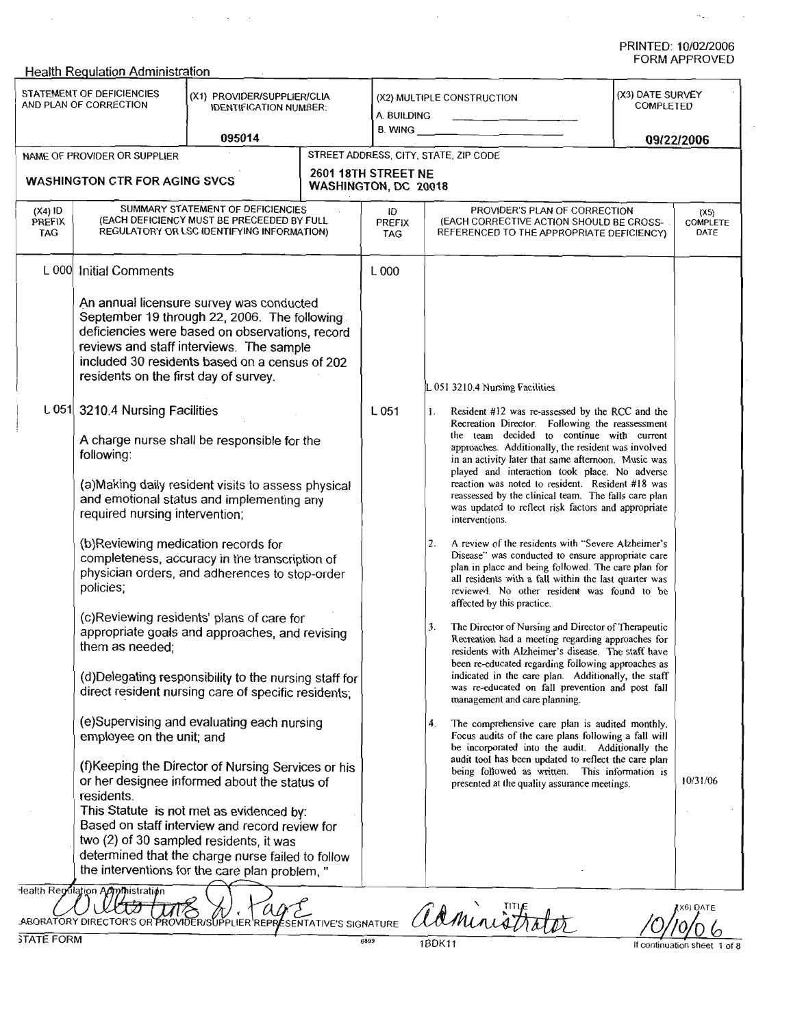$\sigma_{\rm{sat}}$  and  $\sigma_{\rm{tot}}$ 

|                            | <b>Health Regulation Administration</b>                                                                                                                                                                                            |                                                                                                                                                                                                                                                                                                                                                                                                                                                          |                        |                                                    |                                                                                                                                                                                                                                                                                                                                                                                                                                                                                                           |                                             |  |  |
|----------------------------|------------------------------------------------------------------------------------------------------------------------------------------------------------------------------------------------------------------------------------|----------------------------------------------------------------------------------------------------------------------------------------------------------------------------------------------------------------------------------------------------------------------------------------------------------------------------------------------------------------------------------------------------------------------------------------------------------|------------------------|----------------------------------------------------|-----------------------------------------------------------------------------------------------------------------------------------------------------------------------------------------------------------------------------------------------------------------------------------------------------------------------------------------------------------------------------------------------------------------------------------------------------------------------------------------------------------|---------------------------------------------|--|--|
|                            | STATEMENT OF DEFICIENCIES<br>(X1) PROVIDER/SUPPLIER/CLIA<br>AND PLAN OF CORRECTION<br><b>IDENTIFICATION NUMBER:</b><br>095014                                                                                                      |                                                                                                                                                                                                                                                                                                                                                                                                                                                          |                        | A. BUILDING<br>B. WING                             | (X2) MULTIPLE CONSTRUCTION<br>the control of the control of the                                                                                                                                                                                                                                                                                                                                                                                                                                           | (X3) DATE SURVEY<br>COMPLETED<br>09/22/2006 |  |  |
|                            | NAME OF PROVIDER OR SUPPLIER                                                                                                                                                                                                       |                                                                                                                                                                                                                                                                                                                                                                                                                                                          |                        | STREET ADDRESS, CITY, STATE, ZIP CODE              |                                                                                                                                                                                                                                                                                                                                                                                                                                                                                                           |                                             |  |  |
|                            | <b>WASHINGTON CTR FOR AGING SVCS</b>                                                                                                                                                                                               |                                                                                                                                                                                                                                                                                                                                                                                                                                                          |                        | 2601 18TH STREET NE<br><b>WASHINGTON, DC 20018</b> |                                                                                                                                                                                                                                                                                                                                                                                                                                                                                                           |                                             |  |  |
| $(X4)$ ID<br>PREFIX<br>TAG | SUMMARY STATEMENT OF DEFICIENCIES<br>(EACH DEFICIENCY MUST BE PRECEEDED BY FULL<br>REGULATORY OR LSC IDENTIFYING INFORMATION)                                                                                                      |                                                                                                                                                                                                                                                                                                                                                                                                                                                          |                        | łD<br><b>PREFIX</b><br><b>TAG</b>                  | PROVIDER'S PLAN OF CORRECTION<br>(EACH CORRECTIVE ACTION SHOULD BE CROSS-<br>REFERENCED TO THE APPROPRIATE DEFICIENCY)                                                                                                                                                                                                                                                                                                                                                                                    | (X5)<br>COMPLETE<br>DATE                    |  |  |
| L 000                      | <b>Initial Comments</b>                                                                                                                                                                                                            |                                                                                                                                                                                                                                                                                                                                                                                                                                                          |                        | L000                                               |                                                                                                                                                                                                                                                                                                                                                                                                                                                                                                           |                                             |  |  |
|                            | residents on the first day of survey.                                                                                                                                                                                              | An annual licensure survey was conducted<br>September 19 through 22, 2006. The following<br>deficiencies were based on observations, record<br>reviews and staff interviews. The sample<br>included 30 residents based on a census of 202                                                                                                                                                                                                                |                        |                                                    | L 051 3210.4 Nursing Facilities                                                                                                                                                                                                                                                                                                                                                                                                                                                                           |                                             |  |  |
|                            | L 051 3210.4 Nursing Facilities<br>A charge nurse shall be responsible for the<br>following:<br>(a) Making daily resident visits to assess physical<br>and emotional status and implementing any<br>required nursing intervention; |                                                                                                                                                                                                                                                                                                                                                                                                                                                          |                        | L 051                                              | Resident #12 was re-assessed by the RCC and the<br>Ι.<br>Recreation Director. Following the reassessment<br>the team decided to continue with current<br>approaches. Additionally, the resident was involved<br>in an activity later that same afternoon. Music was<br>played and interaction took place. No adverse<br>reaction was noted to resident. Resident #18 was<br>reassessed by the clinical team. The falls care plan<br>was updated to reflect risk factors and appropriate<br>interventions. |                                             |  |  |
|                            | (b)Reviewing medication records for<br>completeness, accuracy in the transcription of<br>physician orders, and adherences to stop-order<br>policies;                                                                               |                                                                                                                                                                                                                                                                                                                                                                                                                                                          |                        |                                                    | A review of the residents with "Severe Alzheimer's<br>2.<br>Disease" was conducted to ensure appropriate care<br>plan in place and being followed. The care plan for<br>all residents with a fall within the last quarter was<br>reviewed. No other resident was found to be<br>affected by this practice.                                                                                                                                                                                                |                                             |  |  |
|                            | (c)Reviewing residents' plans of care for<br>appropriate goals and approaches, and revising<br>them as needed;<br>(d)Delegating responsibility to the nursing staff for                                                            |                                                                                                                                                                                                                                                                                                                                                                                                                                                          |                        |                                                    | The Director of Nursing and Director of Therapeutic<br>3.<br>Recreation had a meeting regarding approaches for<br>residents with Alzheimer's disease. The staff have<br>been re-educated regarding following approaches as<br>indicated in the care plan. Additionally, the staff<br>was re-educated on fall prevention and post fall                                                                                                                                                                     |                                             |  |  |
|                            | employee on the unit; and<br>residents.<br>lealth Regulation Administration                                                                                                                                                        | direct resident nursing care of specific residents;<br>(e)Supervising and evaluating each nursing<br>(f) Keeping the Director of Nursing Services or his<br>or her designee informed about the status of<br>This Statute is not met as evidenced by:<br>Based on staff interview and record review for<br>two (2) of 30 sampled residents, it was<br>determined that the charge nurse failed to follow<br>the interventions for the care plan problem, " |                        |                                                    | management and care planning.<br>The comprehensive care plan is audited monthly.<br>4.<br>Focus audits of the care plans following a fall will<br>be incorporated into the audit. Additionally the<br>audit tool has been updated to reflect the care plan<br>being followed as written. This information is<br>presented at the quality assurance meetings.                                                                                                                                              | 10/31/06                                    |  |  |
|                            | ABORATORY DIRECTOR'S OR                                                                                                                                                                                                            |                                                                                                                                                                                                                                                                                                                                                                                                                                                          | ESENTATIVE'S SIGNATURE |                                                    | administrator                                                                                                                                                                                                                                                                                                                                                                                                                                                                                             | X6) DATE                                    |  |  |
| <b>STATE FORM</b>          |                                                                                                                                                                                                                                    |                                                                                                                                                                                                                                                                                                                                                                                                                                                          |                        | 6899                                               | 1BDK11                                                                                                                                                                                                                                                                                                                                                                                                                                                                                                    |                                             |  |  |

 $\sim$ 

 $\mathcal{L}(\mathcal{A})$  and  $\mathcal{L}(\mathcal{A})$  and

1BDK11

If continuation sheet 1 of 8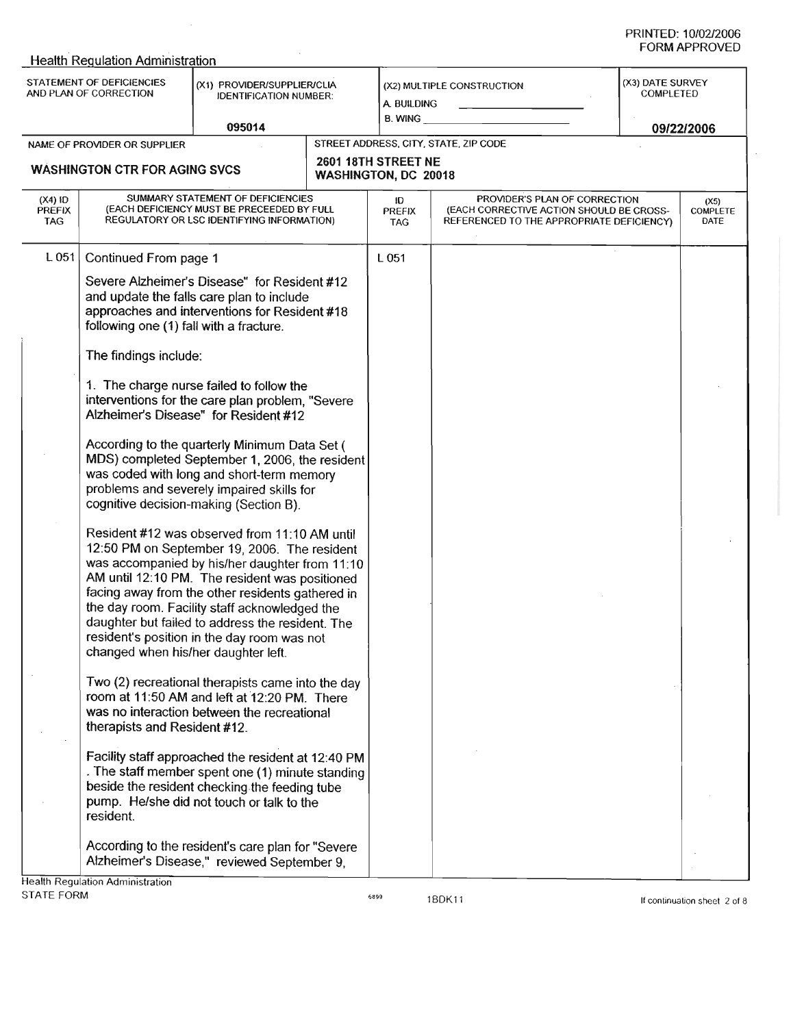|                                                                                                                            | <b>Health Regulation Administration</b>                                                                                                                                       |                                                                                                                                                                                                                                                                                                                                                                                                                                                                                                                                                                                                                                                                                                                                                                                                                                                                                                                                                                                                                                                                                                                                                                                                                                                                                                                                                                                                         |  |                                                     |                                                                                                                        |  |                               |  |
|----------------------------------------------------------------------------------------------------------------------------|-------------------------------------------------------------------------------------------------------------------------------------------------------------------------------|---------------------------------------------------------------------------------------------------------------------------------------------------------------------------------------------------------------------------------------------------------------------------------------------------------------------------------------------------------------------------------------------------------------------------------------------------------------------------------------------------------------------------------------------------------------------------------------------------------------------------------------------------------------------------------------------------------------------------------------------------------------------------------------------------------------------------------------------------------------------------------------------------------------------------------------------------------------------------------------------------------------------------------------------------------------------------------------------------------------------------------------------------------------------------------------------------------------------------------------------------------------------------------------------------------------------------------------------------------------------------------------------------------|--|-----------------------------------------------------|------------------------------------------------------------------------------------------------------------------------|--|-------------------------------|--|
| STATEMENT OF DEFICIENCIES<br>(X1) PROVIDER/SUPPLIER/CLIA<br>AND PLAN OF CORRECTION<br><b>IDENTIFICATION NUMBER:</b>        |                                                                                                                                                                               |                                                                                                                                                                                                                                                                                                                                                                                                                                                                                                                                                                                                                                                                                                                                                                                                                                                                                                                                                                                                                                                                                                                                                                                                                                                                                                                                                                                                         |  | a. Building<br>B. WING                              | (X2) MULTIPLE CONSTRUCTION                                                                                             |  | (X3) DATE SURVEY<br>COMPLETED |  |
|                                                                                                                            |                                                                                                                                                                               | 095014                                                                                                                                                                                                                                                                                                                                                                                                                                                                                                                                                                                                                                                                                                                                                                                                                                                                                                                                                                                                                                                                                                                                                                                                                                                                                                                                                                                                  |  | 09/22/2006<br>STREET ADDRESS, CITY, STATE, ZIP CODE |                                                                                                                        |  |                               |  |
| NAME OF PROVIDER OR SUPPLIER<br>2601 18TH STREET NE<br><b>WASHINGTON CTR FOR AGING SVCS</b><br><b>WASHINGTON, DC 20018</b> |                                                                                                                                                                               |                                                                                                                                                                                                                                                                                                                                                                                                                                                                                                                                                                                                                                                                                                                                                                                                                                                                                                                                                                                                                                                                                                                                                                                                                                                                                                                                                                                                         |  |                                                     |                                                                                                                        |  |                               |  |
| $(X4)$ ID<br><b>PREFIX</b><br><b>TAG</b>                                                                                   | SUMMARY STATEMENT OF DEFICIENCIES<br>(EACH DEFICIENCY MUST BE PRECEEDED BY FULL<br>REGULATORY OR LSC IDENTIFYING INFORMATION)                                                 |                                                                                                                                                                                                                                                                                                                                                                                                                                                                                                                                                                                                                                                                                                                                                                                                                                                                                                                                                                                                                                                                                                                                                                                                                                                                                                                                                                                                         |  | łD.<br>PREFIX<br><b>TAG</b>                         | PROVIDER'S PLAN OF CORRECTION<br>(EACH CORRECTIVE ACTION SHOULD BE CROSS-<br>REFERENCED TO THE APPROPRIATE DEFICIENCY) |  | (X5)<br>COMPLETE<br>DATE      |  |
| L 051                                                                                                                      | Continued From page 1<br>following one (1) fall with a fracture.<br>The findings include:<br>changed when his/her daughter left.<br>therapists and Resident #12.<br>resident. | Severe Alzheimer's Disease" for Resident #12<br>and update the falls care plan to include<br>approaches and interventions for Resident #18<br>1. The charge nurse failed to follow the<br>interventions for the care plan problem, "Severe<br>Alzheimer's Disease" for Resident #12<br>According to the quarterly Minimum Data Set (<br>MDS) completed September 1, 2006, the resident<br>was coded with long and short-term memory<br>problems and severely impaired skills for<br>cognitive decision-making (Section B).<br>Resident #12 was observed from 11:10 AM until<br>12:50 PM on September 19, 2006. The resident<br>was accompanied by his/her daughter from 11:10<br>AM until 12:10 PM. The resident was positioned<br>facing away from the other residents gathered in<br>the day room. Facility staff acknowledged the<br>daughter but failed to address the resident. The<br>resident's position in the day room was not<br>Two (2) recreational therapists came into the day<br>room at 11:50 AM and left at 12:20 PM. There<br>was no interaction between the recreational<br>Facility staff approached the resident at 12:40 PM<br>. The staff member spent one (1) minute standing<br>beside the resident checking the feeding tube<br>pump. He/she did not touch or talk to the<br>According to the resident's care plan for "Severe<br>Alzheimer's Disease," reviewed September 9, |  | L 051                                               |                                                                                                                        |  |                               |  |
|                                                                                                                            | <b>Health Regulation Administration</b>                                                                                                                                       |                                                                                                                                                                                                                                                                                                                                                                                                                                                                                                                                                                                                                                                                                                                                                                                                                                                                                                                                                                                                                                                                                                                                                                                                                                                                                                                                                                                                         |  |                                                     |                                                                                                                        |  |                               |  |
| STATE FORM                                                                                                                 |                                                                                                                                                                               |                                                                                                                                                                                                                                                                                                                                                                                                                                                                                                                                                                                                                                                                                                                                                                                                                                                                                                                                                                                                                                                                                                                                                                                                                                                                                                                                                                                                         |  | 6899                                                | 1BDK11                                                                                                                 |  | If continuation sheet 2 of 8  |  |

 $\sim 10^7$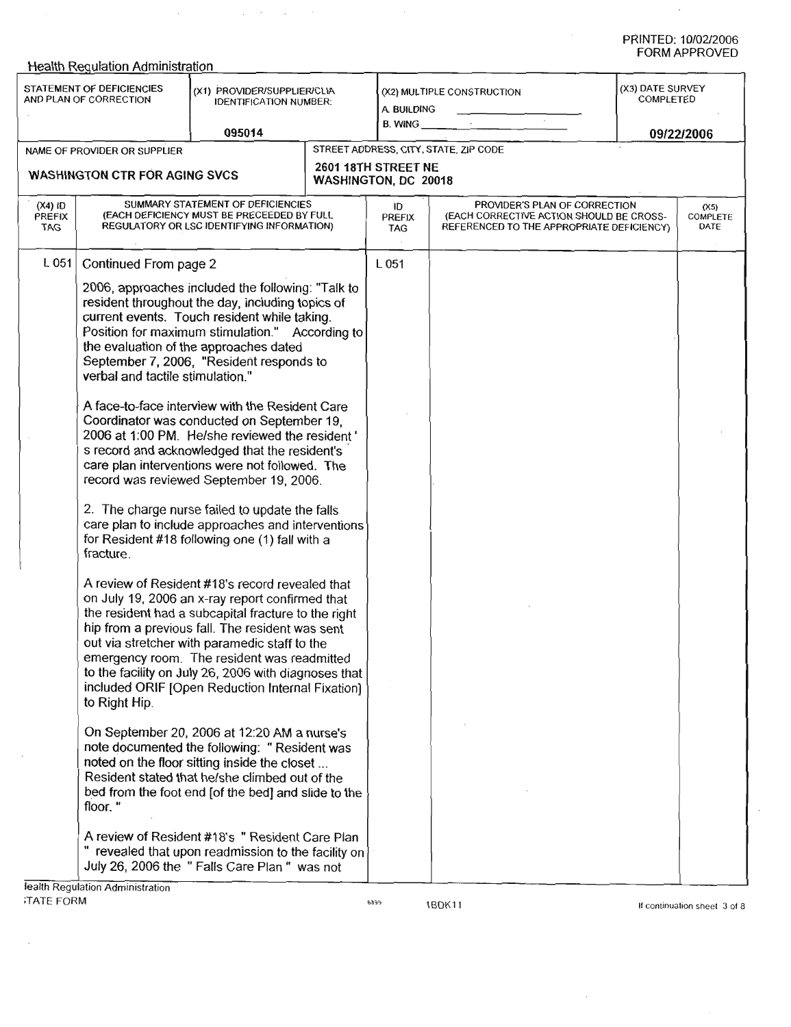$\bar{z}$ 

|                                                                                                                     | <b>Health Regulation Administration</b>                                                                                                                                                                                                                                                                                                                                                                                                                                                                                                                                                                                                                                                                                                                                                                                                                                                                                                                                                                                                                                                                                                                                                                                                                                                                                                     |        |                                                             |                                   |                                                                                                                        |  |                          |  |  |
|---------------------------------------------------------------------------------------------------------------------|---------------------------------------------------------------------------------------------------------------------------------------------------------------------------------------------------------------------------------------------------------------------------------------------------------------------------------------------------------------------------------------------------------------------------------------------------------------------------------------------------------------------------------------------------------------------------------------------------------------------------------------------------------------------------------------------------------------------------------------------------------------------------------------------------------------------------------------------------------------------------------------------------------------------------------------------------------------------------------------------------------------------------------------------------------------------------------------------------------------------------------------------------------------------------------------------------------------------------------------------------------------------------------------------------------------------------------------------|--------|-------------------------------------------------------------|-----------------------------------|------------------------------------------------------------------------------------------------------------------------|--|--------------------------|--|--|
| STATEMENT OF DEFICIENCIES<br>(X1) PROVIDER/SUPPLIER/CLIA<br>AND PLAN OF CORRECTION<br><b>IDENTIFICATION NUMBER:</b> |                                                                                                                                                                                                                                                                                                                                                                                                                                                                                                                                                                                                                                                                                                                                                                                                                                                                                                                                                                                                                                                                                                                                                                                                                                                                                                                                             |        | (X2) MULTIPLE CONSTRUCTION<br>A. BUILDING<br><b>B. WING</b> |                                   | (X3) DATE SURVEY<br>COMPLETED                                                                                          |  |                          |  |  |
|                                                                                                                     |                                                                                                                                                                                                                                                                                                                                                                                                                                                                                                                                                                                                                                                                                                                                                                                                                                                                                                                                                                                                                                                                                                                                                                                                                                                                                                                                             | 095014 |                                                             |                                   |                                                                                                                        |  | 09/22/2006               |  |  |
|                                                                                                                     | NAME OF PROVIDER OR SUPPLIER                                                                                                                                                                                                                                                                                                                                                                                                                                                                                                                                                                                                                                                                                                                                                                                                                                                                                                                                                                                                                                                                                                                                                                                                                                                                                                                |        |                                                             |                                   | STREET ADDRESS, CITY, STATE, ZIP CODE                                                                                  |  |                          |  |  |
| 2601 18TH STREET NE<br><b>WASHINGTON CTR FOR AGING SVCS</b>                                                         |                                                                                                                                                                                                                                                                                                                                                                                                                                                                                                                                                                                                                                                                                                                                                                                                                                                                                                                                                                                                                                                                                                                                                                                                                                                                                                                                             |        | <b>WASHINGTON, DC 20018</b>                                 |                                   |                                                                                                                        |  |                          |  |  |
| $(X4)$ ID<br>PREFIX<br>TAG                                                                                          | SUMMARY STATEMENT OF DEFICIENCIES<br>(EACH DEFICIENCY MUST BE PRECEEDED BY FULL<br>REGULATORY OR LSC IDENTIFYING INFORMATION)                                                                                                                                                                                                                                                                                                                                                                                                                                                                                                                                                                                                                                                                                                                                                                                                                                                                                                                                                                                                                                                                                                                                                                                                               |        |                                                             | łD<br><b>PREFIX</b><br><b>TAG</b> | PROVIDER'S PLAN OF CORRECTION<br>(EACH CORRECTIVE ACTION SHOULD BE CROSS-<br>REFERENCED TO THE APPROPRIATE DEFICIENCY) |  | (X5)<br>COMPLETE<br>DATE |  |  |
| L 051                                                                                                               | Continued From page 2                                                                                                                                                                                                                                                                                                                                                                                                                                                                                                                                                                                                                                                                                                                                                                                                                                                                                                                                                                                                                                                                                                                                                                                                                                                                                                                       |        |                                                             | L 051                             |                                                                                                                        |  |                          |  |  |
|                                                                                                                     | 2006, approaches included the following: "Talk to<br>resident throughout the day, including topics of<br>current events. Touch resident while taking.<br>Position for maximum stimulation." According to<br>the evaluation of the approaches dated<br>September 7, 2006, "Resident responds to<br>verbal and tactile stimulation."                                                                                                                                                                                                                                                                                                                                                                                                                                                                                                                                                                                                                                                                                                                                                                                                                                                                                                                                                                                                          |        |                                                             |                                   |                                                                                                                        |  |                          |  |  |
|                                                                                                                     | A face-to-face interview with the Resident Care<br>Coordinator was conducted on September 19,<br>2006 at 1.00 PM. He/she reviewed the resident'<br>s record and acknowledged that the resident's<br>care plan interventions were not followed. The<br>record was reviewed September 19, 2006.<br>2. The charge nurse failed to update the falls<br>care plan to include approaches and interventions<br>for Resident #18 following one (1) fall with a<br>fracture.<br>A review of Resident #18's record revealed that<br>on July 19, 2006 an x-ray report confirmed that<br>the resident had a subcapital fracture to the right<br>hip from a previous fall. The resident was sent<br>out via stretcher with paramedic staff to the<br>emergency room. The resident was readmitted<br>to the facility on July 26, 2006 with diagnoses that<br>included ORIF [Open Reduction Internal Fixation]<br>to Right Hip.<br>On September 20, 2006 at 12:20 AM a nurse's<br>note documented the following: "Resident was<br>noted on the floor sitting inside the closet<br>Resident stated that he/she climbed out of the<br>bed from the foot end [of the bed] and slide to the<br>floor."<br>A review of Resident #18's " Resident Care Plan<br>revealed that upon readmission to the facility on<br>July 26, 2006 the "Falls Care Plan " was not |        |                                                             |                                   |                                                                                                                        |  |                          |  |  |
|                                                                                                                     |                                                                                                                                                                                                                                                                                                                                                                                                                                                                                                                                                                                                                                                                                                                                                                                                                                                                                                                                                                                                                                                                                                                                                                                                                                                                                                                                             |        |                                                             |                                   |                                                                                                                        |  |                          |  |  |
|                                                                                                                     |                                                                                                                                                                                                                                                                                                                                                                                                                                                                                                                                                                                                                                                                                                                                                                                                                                                                                                                                                                                                                                                                                                                                                                                                                                                                                                                                             |        |                                                             |                                   |                                                                                                                        |  |                          |  |  |
|                                                                                                                     |                                                                                                                                                                                                                                                                                                                                                                                                                                                                                                                                                                                                                                                                                                                                                                                                                                                                                                                                                                                                                                                                                                                                                                                                                                                                                                                                             |        |                                                             |                                   |                                                                                                                        |  |                          |  |  |
|                                                                                                                     |                                                                                                                                                                                                                                                                                                                                                                                                                                                                                                                                                                                                                                                                                                                                                                                                                                                                                                                                                                                                                                                                                                                                                                                                                                                                                                                                             |        |                                                             |                                   |                                                                                                                        |  |                          |  |  |

 $\mathcal{A}^{\mathcal{A}}_{\mathcal{A}}$  , where  $\mathcal{A}^{\mathcal{A}}_{\mathcal{A}}$  ,  $\mathcal{A}^{\mathcal{A}}_{\mathcal{A}}$  ,  $\mathcal{A}^{\mathcal{A}}_{\mathcal{A}}$  , and

**iealth Regulation Administration** ;TATE FORM

 $\mathcal{A}$ 

<sup>6899</sup> 1BDK11

 $\mathcal{A}$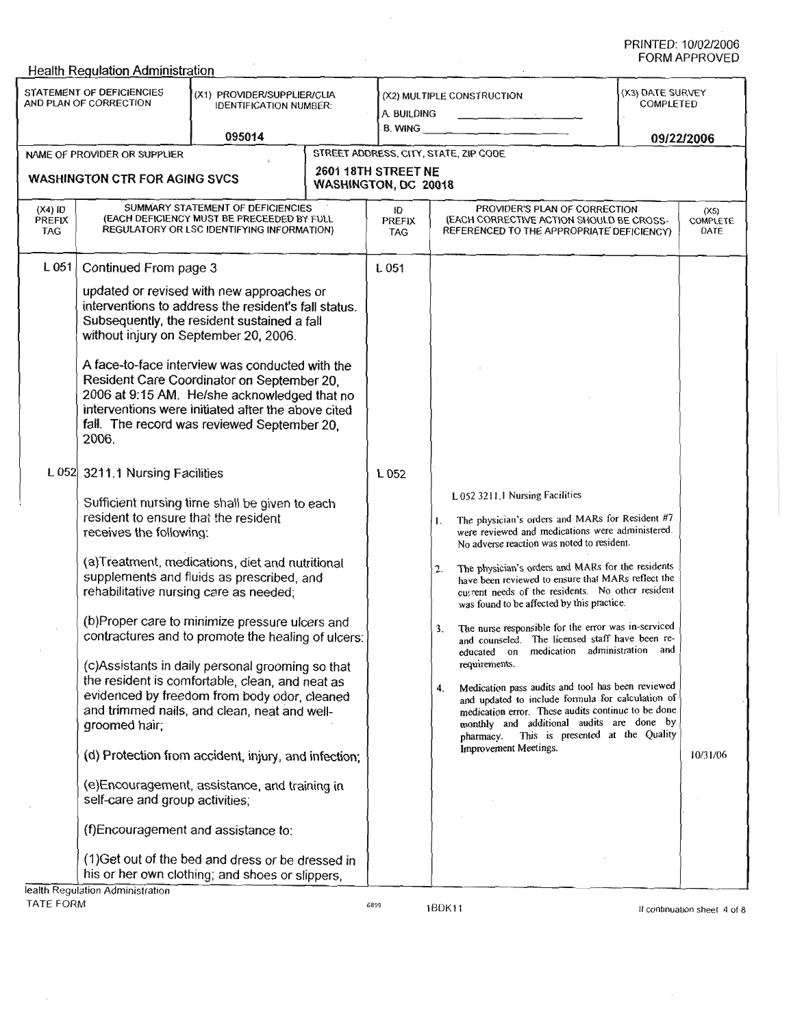|                                                                                                                               | <b>Health Regulation Administration</b>                                                                                                                                                  |                                                                                                                                                                                                                                                                                                                                                                                                                                                                                                                                                                                                                                                                                                                                                                                                                                                                                                                                                                                                                                                                     |                                                                                           |                            |                                                                                                                                                                                                                                             |                                                                                                                                                                                                                                                                                                                                                                                                                                                                                                                                                                                                                                                  | FORM APPROVED            |
|-------------------------------------------------------------------------------------------------------------------------------|------------------------------------------------------------------------------------------------------------------------------------------------------------------------------------------|---------------------------------------------------------------------------------------------------------------------------------------------------------------------------------------------------------------------------------------------------------------------------------------------------------------------------------------------------------------------------------------------------------------------------------------------------------------------------------------------------------------------------------------------------------------------------------------------------------------------------------------------------------------------------------------------------------------------------------------------------------------------------------------------------------------------------------------------------------------------------------------------------------------------------------------------------------------------------------------------------------------------------------------------------------------------|-------------------------------------------------------------------------------------------|----------------------------|---------------------------------------------------------------------------------------------------------------------------------------------------------------------------------------------------------------------------------------------|--------------------------------------------------------------------------------------------------------------------------------------------------------------------------------------------------------------------------------------------------------------------------------------------------------------------------------------------------------------------------------------------------------------------------------------------------------------------------------------------------------------------------------------------------------------------------------------------------------------------------------------------------|--------------------------|
| STATEMENT OF DEFICIENCIES<br>(X1) PROVIDER/SUPPLIER/CLIA<br>AND PLAN OF CORRECTION<br><b>IDENTIFICATION NUMBER:</b><br>095014 |                                                                                                                                                                                          |                                                                                                                                                                                                                                                                                                                                                                                                                                                                                                                                                                                                                                                                                                                                                                                                                                                                                                                                                                                                                                                                     | (X2) MULTIPLE CONSTRUCTION<br>A. BUILDING<br>and the state of the state<br><b>B. WING</b> |                            | (X3) DATE SURVEY<br>COMPLETED                                                                                                                                                                                                               |                                                                                                                                                                                                                                                                                                                                                                                                                                                                                                                                                                                                                                                  |                          |
|                                                                                                                               | NAME OF PROVIDER OR SUPPLIER                                                                                                                                                             |                                                                                                                                                                                                                                                                                                                                                                                                                                                                                                                                                                                                                                                                                                                                                                                                                                                                                                                                                                                                                                                                     |                                                                                           |                            | STREET ADDRESS, CITY, STATE, ZIP CODE                                                                                                                                                                                                       |                                                                                                                                                                                                                                                                                                                                                                                                                                                                                                                                                                                                                                                  | 09/22/2006               |
|                                                                                                                               |                                                                                                                                                                                          |                                                                                                                                                                                                                                                                                                                                                                                                                                                                                                                                                                                                                                                                                                                                                                                                                                                                                                                                                                                                                                                                     | 2601 18TH STREET NE                                                                       |                            |                                                                                                                                                                                                                                             |                                                                                                                                                                                                                                                                                                                                                                                                                                                                                                                                                                                                                                                  |                          |
| <b>WASHINGTON CTR FOR AGING SVCS</b>                                                                                          |                                                                                                                                                                                          |                                                                                                                                                                                                                                                                                                                                                                                                                                                                                                                                                                                                                                                                                                                                                                                                                                                                                                                                                                                                                                                                     | WASHINGTON, DC 20018                                                                      |                            |                                                                                                                                                                                                                                             |                                                                                                                                                                                                                                                                                                                                                                                                                                                                                                                                                                                                                                                  |                          |
| $(X4)$ ID<br>PREFIX<br><b>TAG</b>                                                                                             | SUMMARY STATEMENT OF DEFICIENCIES<br>(EACH DEFICIENCY MUST BE PRECEEDED BY FULL<br>REGULATORY OR LSC IDENTIFYING INFORMATION)                                                            |                                                                                                                                                                                                                                                                                                                                                                                                                                                                                                                                                                                                                                                                                                                                                                                                                                                                                                                                                                                                                                                                     |                                                                                           | łЮ<br>PREFIX<br><b>TAG</b> |                                                                                                                                                                                                                                             | PROVIDER'S PLAN OF CORRECTION<br>(EACH CORRECTIVE ACTION SHOULD BE CROSS-<br>REFERENCED TO THE APPROPRIATE DEFICIENCY)                                                                                                                                                                                                                                                                                                                                                                                                                                                                                                                           | (X5)<br>COMPLETE<br>DATE |
| $L_{051}$                                                                                                                     | Continued From page 3<br>2006.<br>L 052 3211.1 Nursing Facilities<br>resident to ensure that the resident<br>receives the following:<br>groomed hair;<br>self-care and group activities; | updated or revised with new approaches or<br>interventions to address the resident's fall status.<br>Subsequently, the resident sustained a fall<br>without injury on September 20, 2006.<br>A face-to-face interview was conducted with the<br>Resident Care Coordinator on September 20,<br>2006 at 9:15 AM. He/she acknowledged that no<br>interventions were initiated after the above cited<br>fall. The record was reviewed September 20,<br>Sufficient nursing time shall be given to each<br>(a)Treatment, medications, diet and nutritional<br>supplements and fluids as prescribed, and<br>rehabilitative nursing care as needed;<br>(b)Proper care to minimize pressure ulcers and<br>contractures and to promote the healing of ulcers:<br>(c)Assistants in daily personal grooming so that<br>the resident is comfortable, clean, and neat as<br>evidenced by freedom from body odor, cleaned<br>and trimmed nails, and clean, neat and well-<br>(d) Protection from accident, injury, and infection;<br>(e)Encouragement, assistance, and training in |                                                                                           | L 051<br>L 052             | L 052 3211.1 Nursing Facilities<br>1.<br>No adverse reaction was noted to resident.<br>2.<br>was found to be affected by this practice.<br>3.<br>and counseled.<br>educated on<br>requirements.<br>4.<br>pharmacy.<br>Improvement Meetings. | The physician's orders and MARs for Resident #7<br>were reviewed and medications were administered.<br>The physician's orders and MARs for the residents<br>have been reviewed to ensure that MARs reflect the<br>current needs of the residents. No other resident<br>The nurse responsible for the error was in-serviced<br>The licensed staff have been re-<br>medication administration and<br>Medication pass audits and tool has been reviewed<br>and updated to include formula for calculation of<br>medication error. These audits continue to be done<br>monthly and additional audits are done by<br>This is presented at the Quality | 10/31/06                 |
|                                                                                                                               | lealth Regulation Administration                                                                                                                                                         | (f)Encouragement and assistance to:<br>(1) Get out of the bed and dress or be dressed in<br>his or her own clothing; and shoes or slippers,                                                                                                                                                                                                                                                                                                                                                                                                                                                                                                                                                                                                                                                                                                                                                                                                                                                                                                                         |                                                                                           |                            |                                                                                                                                                                                                                                             |                                                                                                                                                                                                                                                                                                                                                                                                                                                                                                                                                                                                                                                  |                          |

 $\bar{z}$ 

TATE FORM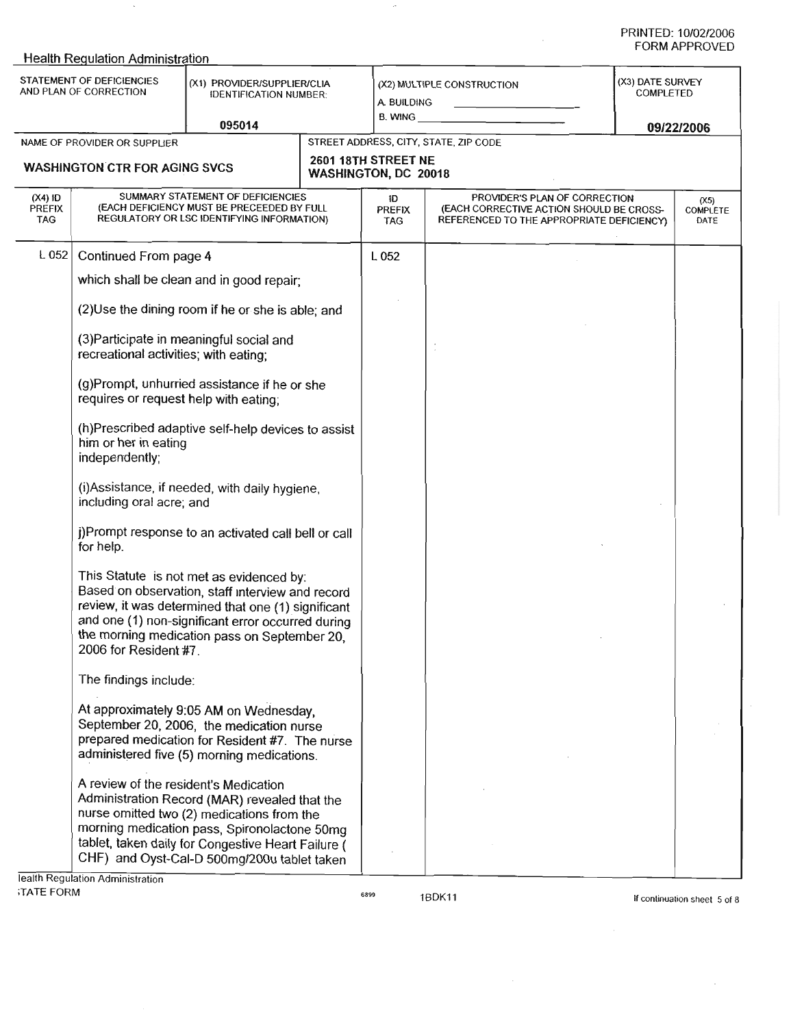$\bar{z}$ 

|                                                                                                                     | <b>Health Regulation Administration</b>                                                                                                                                                                                                                                          |                                                                                                                                                                                                                                                  |                               |                            |                                       |                                                                                                                                                           | FORM APPROVED |  |
|---------------------------------------------------------------------------------------------------------------------|----------------------------------------------------------------------------------------------------------------------------------------------------------------------------------------------------------------------------------------------------------------------------------|--------------------------------------------------------------------------------------------------------------------------------------------------------------------------------------------------------------------------------------------------|-------------------------------|----------------------------|---------------------------------------|-----------------------------------------------------------------------------------------------------------------------------------------------------------|---------------|--|
| STATEMENT OF DEFICIENCIES<br>(X1) PROVIDER/SUPPLIER/CLIA<br>AND PLAN OF CORRECTION<br><b>IDENTIFICATION NUMBER:</b> |                                                                                                                                                                                                                                                                                  |                                                                                                                                                                                                                                                  | A. BUILDING<br><b>B. WING</b> | (X2) MULTIPLE CONSTRUCTION | (X3) DATE SURVEY<br><b>COMPLETED</b>  |                                                                                                                                                           |               |  |
|                                                                                                                     | NAME OF PROVIDER OR SUPPLIER                                                                                                                                                                                                                                                     | 095014                                                                                                                                                                                                                                           |                               |                            | STREET ADDRESS, CITY, STATE, ZIP CODE |                                                                                                                                                           | 09/22/2006    |  |
|                                                                                                                     |                                                                                                                                                                                                                                                                                  |                                                                                                                                                                                                                                                  |                               | 2601 18TH STREET NE        |                                       |                                                                                                                                                           |               |  |
|                                                                                                                     | <b>WASHINGTON CTR FOR AGING SVCS</b>                                                                                                                                                                                                                                             |                                                                                                                                                                                                                                                  |                               | WASHINGTON, DC 20018       |                                       |                                                                                                                                                           |               |  |
| $(X4)$ ID<br><b>PREFIX</b><br><b>TAG</b>                                                                            | SUMMARY STATEMENT OF DEFICIENCIES<br>(EACH DEFICIENCY MUST BE PRECEEDED BY FULL<br>REGULATORY OR LSC IDENTIFYING INFORMATION)                                                                                                                                                    |                                                                                                                                                                                                                                                  |                               | iD<br><b>PREFIX</b><br>TAG |                                       | PROVIDER'S PLAN OF CORRECTION<br>(X5)<br>(EACH CORRECTIVE ACTION SHOULD BE CROSS-<br><b>COMPLETE</b><br>REFERENCED TO THE APPROPRIATE DEFICIENCY)<br>DATE |               |  |
| L 052                                                                                                               | Continued From page 4                                                                                                                                                                                                                                                            |                                                                                                                                                                                                                                                  |                               | L052                       |                                       |                                                                                                                                                           |               |  |
|                                                                                                                     |                                                                                                                                                                                                                                                                                  | which shall be clean and in good repair;                                                                                                                                                                                                         |                               |                            |                                       |                                                                                                                                                           |               |  |
|                                                                                                                     |                                                                                                                                                                                                                                                                                  | (2) Use the dining room if he or she is able; and                                                                                                                                                                                                |                               |                            |                                       |                                                                                                                                                           |               |  |
|                                                                                                                     | recreational activities; with eating;                                                                                                                                                                                                                                            | (3) Participate in meaningful social and                                                                                                                                                                                                         |                               |                            | $\overline{\phantom{a}}$              |                                                                                                                                                           |               |  |
|                                                                                                                     | (g)Prompt, unhurried assistance if he or she<br>requires or request help with eating:                                                                                                                                                                                            |                                                                                                                                                                                                                                                  |                               |                            |                                       |                                                                                                                                                           |               |  |
|                                                                                                                     | (h)Prescribed adaptive self-help devices to assist<br>him or her in eating<br>independently;                                                                                                                                                                                     |                                                                                                                                                                                                                                                  |                               |                            |                                       |                                                                                                                                                           |               |  |
|                                                                                                                     | (i) Assistance, if needed, with daily hygiene,<br>including oral acre; and                                                                                                                                                                                                       |                                                                                                                                                                                                                                                  |                               |                            |                                       |                                                                                                                                                           |               |  |
|                                                                                                                     | j)Prompt response to an activated call bell or call<br>for help.                                                                                                                                                                                                                 |                                                                                                                                                                                                                                                  |                               |                            |                                       |                                                                                                                                                           |               |  |
|                                                                                                                     | This Statute is not met as evidenced by:<br>Based on observation, staff interview and record<br>review, it was determined that one (1) significant<br>and one (1) non-significant error occurred during<br>the morning medication pass on September 20,<br>2006 for Resident #7. |                                                                                                                                                                                                                                                  |                               |                            |                                       |                                                                                                                                                           |               |  |
|                                                                                                                     | The findings include:                                                                                                                                                                                                                                                            |                                                                                                                                                                                                                                                  |                               |                            |                                       |                                                                                                                                                           |               |  |
|                                                                                                                     | At approximately 9:05 AM on Wednesday,<br>September 20, 2006, the medication nurse<br>prepared medication for Resident #7. The nurse<br>administered five (5) morning medications.                                                                                               |                                                                                                                                                                                                                                                  |                               |                            |                                       |                                                                                                                                                           |               |  |
|                                                                                                                     | A review of the resident's Medication<br>lealth Regulation Administration                                                                                                                                                                                                        | Administration Record (MAR) revealed that the<br>nurse omitted two (2) medications from the<br>morning medication pass, Spironolactone 50mg<br>tablet, taken daily for Congestive Heart Failure (<br>CHF) and Oyst-Cal-D 500mg/200u tablet taken |                               |                            |                                       |                                                                                                                                                           |               |  |

 $\cdot$ 

 $\bar{\mathcal{A}}$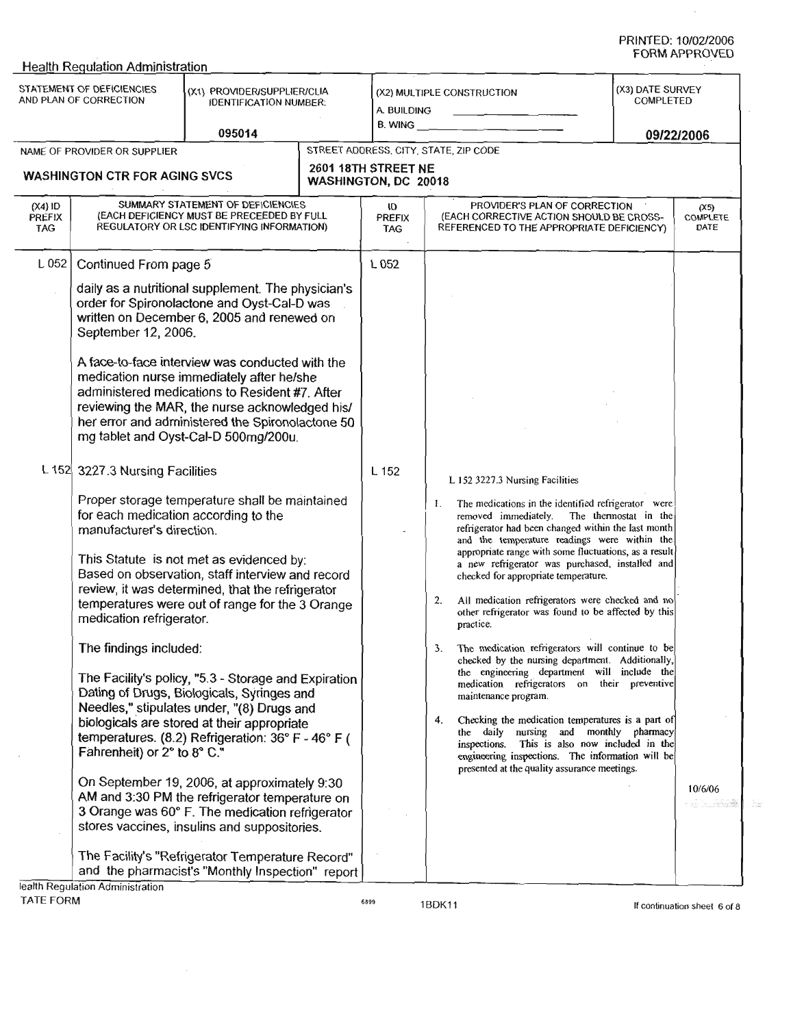Health Requlation Administration **TATEMENT OF DEFICIENCIES** (X3) DATE SURVEY (X1) PROVIDER/SUPPLIFR/CLIA (X2) MULTIPLE CONSTRUCTION COMPLETED IDENTIFICATION **NUMBER:** A BUILDING **B. WING 095014 09/22/2006** NAME OF P ROVIDER OR SUPPLIER STREET ADDRESS, CITY, STATE, ZIP CODE **WASHINGTON CTR FOR A GING SVCS. 2601 18TH STREET NE WASHINGTON**, **DC 20018 (X4) ID** PREFIX SUMMARY STATEMENT OF DEFICIENCIES PROVIDER'S PLAN OF CORRECTION **ID (X5) COMPLETE** (EACH DEFICIENCY MUST BE PRECEEDED BY FULL PRÉFIX<br>TAG **PREFIX** (EACH CORRECTIVE ACTION SHOULD BE CROSS-REGULATORY OR LSC IDENTIFYING INFORMATION) REFERENCED TO THE APPROPRIATE DEFICIENCY) **DATE** TAG L 052 Continued From page 5 L 052 daily as a nutritional supplement. The physician's order for Spironolactone and Oyst-Cal-D was written on December 6, 2005 and renewed on September 12, 2006. **A face**-**to-face interview was conducted with the medication nurse immediately after he/she** administered medications to Resident #7. After **reviewing the MAR, the nurse acknowledged his/ her error and administered the Spironolactone 50 mg tablet and** Oyst-**Cal-D 500mg/200u.** L 152 3227**.3 Nursing Facilities** L 152 L 152 3227 **.3 Nursing Facilities Proper storage temperature shall be maintained** 1. The medications in the identified refrigerator were **for each medication according to the** removed immediately. The thermostat in the refrigerator had been changed within the last month **manufacturer**'**s direction.** and the temperature readings were within the appropriate range with some **fluctuations**, **as a result** This Statute is not met as evidenced by: a new refrigerator was purchased**, installed and** Based on observation, staff interview and record checked for appropriate temperature. review, it was determined, that the refrigerator 2. All medication refrigerators were checked and no temperatures were out of range for the 3 Orange other refrigerator was found to be affected by this medication refrigerator. practice. The findings included: 3. The **medication** refrigerators **will continue to be** checked by the nursing department. Additionally, **the engineering** department **will include the** The Facility's policy, "5.3 - Storage and Expiration **medication** refrigerators **on their preventive** Dating of Drugs, Biologicals, Syringes and **maintenance** program. **Needles," stipulates under**, "(**8) Drugs and** 4. Checking the medication temperatures **is a part o** biologicals are stored at their appropriate the daily **nursing and** monthly pharmacy temperatures. (8.2) Refrigeration: 36° F - 46° F ( **inspections**. This **is also** now included in the Fahrenheit) or 2° to 8° C." **engineering inspections**. The information will be presented at the quality **assurance** meetings. On September 19, 2006, at approximately 9:30 10/6/06 AM and 3:30 PM the refrigerator temperature on 3 Orange was 60° F. The medication refrigerator stores vaccines, insulins and suppositories. The Facility's "Refrigerator Temperature Record" and the pharmacist's "Monthly Inspection" report

IBDK11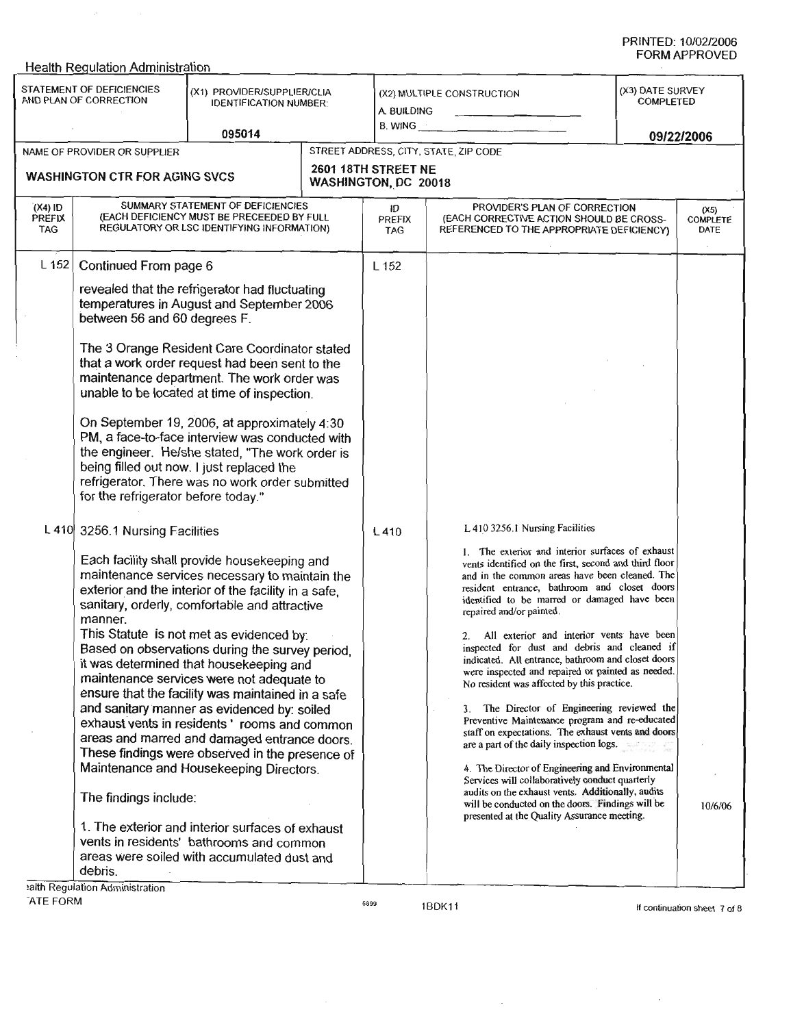|                                                                                                                               | <b>Health Regulation Administration</b>                                                                                       |                                                                                                                                                                                                                                                                                                                                                                                                                                                                                                                                                                                                                                                                                                                                                                                                                                                 |                                                      |                                       |                                                                                                                                                                                                                                                                                                                                                                                                                                                                                                                                                                                                                                                                                                                                                                                                                                                                                                                                                                                                                                                          |            |         |
|-------------------------------------------------------------------------------------------------------------------------------|-------------------------------------------------------------------------------------------------------------------------------|-------------------------------------------------------------------------------------------------------------------------------------------------------------------------------------------------------------------------------------------------------------------------------------------------------------------------------------------------------------------------------------------------------------------------------------------------------------------------------------------------------------------------------------------------------------------------------------------------------------------------------------------------------------------------------------------------------------------------------------------------------------------------------------------------------------------------------------------------|------------------------------------------------------|---------------------------------------|----------------------------------------------------------------------------------------------------------------------------------------------------------------------------------------------------------------------------------------------------------------------------------------------------------------------------------------------------------------------------------------------------------------------------------------------------------------------------------------------------------------------------------------------------------------------------------------------------------------------------------------------------------------------------------------------------------------------------------------------------------------------------------------------------------------------------------------------------------------------------------------------------------------------------------------------------------------------------------------------------------------------------------------------------------|------------|---------|
| STATEMENT OF DEFICIENCIES<br>(X1) PROVIDER/SUPPLIER/CLIA<br>AND PLAN OF CORRECTION<br><b>IDENTIFICATION NUMBER:</b><br>095014 |                                                                                                                               |                                                                                                                                                                                                                                                                                                                                                                                                                                                                                                                                                                                                                                                                                                                                                                                                                                                 | (X2) MULTIPLE CONSTRUCTION<br>A. BUILDING<br>B. WING |                                       | (X3) DATE SURVEY<br><b>COMPLETED</b>                                                                                                                                                                                                                                                                                                                                                                                                                                                                                                                                                                                                                                                                                                                                                                                                                                                                                                                                                                                                                     |            |         |
|                                                                                                                               |                                                                                                                               |                                                                                                                                                                                                                                                                                                                                                                                                                                                                                                                                                                                                                                                                                                                                                                                                                                                 |                                                      |                                       |                                                                                                                                                                                                                                                                                                                                                                                                                                                                                                                                                                                                                                                                                                                                                                                                                                                                                                                                                                                                                                                          | 09/22/2006 |         |
| NAME OF PROVIDER OR SUPPLIER<br><b>WASHINGTON CTR FOR AGING SVCS</b>                                                          |                                                                                                                               |                                                                                                                                                                                                                                                                                                                                                                                                                                                                                                                                                                                                                                                                                                                                                                                                                                                 | 2601 18TH STREET NE<br>WASHINGTON, DC 20018          | STREET ADDRESS, CITY, STATE, ZIP CODE |                                                                                                                                                                                                                                                                                                                                                                                                                                                                                                                                                                                                                                                                                                                                                                                                                                                                                                                                                                                                                                                          |            |         |
| $(X4)$ ID<br>PREFIX<br>TAG.                                                                                                   | SUMMARY STATEMENT OF DEFICIENCIES<br>(EACH DEFICIENCY MUST BE PRECEEDED BY FULL<br>REGULATORY OR LSC IDENTIFYING INFORMATION) |                                                                                                                                                                                                                                                                                                                                                                                                                                                                                                                                                                                                                                                                                                                                                                                                                                                 |                                                      | id<br>PREFIX<br><b>TAG</b>            | PROVIDER'S PLAN OF CORRECTION<br>(X5)<br>(EACH CORRECTIVE ACTION SHOULD BE CROSS-<br><b>COMPLETE</b><br>REFERENCED TO THE APPROPRIATE DEFICIENCY)<br>DATE                                                                                                                                                                                                                                                                                                                                                                                                                                                                                                                                                                                                                                                                                                                                                                                                                                                                                                |            |         |
| $L$ 152                                                                                                                       | Continued From page 6<br>between 56 and 60 degrees F.<br>for the refrigerator before today."                                  | revealed that the refrigerator had fluctuating<br>temperatures in August and September 2006<br>The 3 Orange Resident Care Coordinator stated<br>that a work order request had been sent to the<br>maintenance department. The work order was<br>unable to be located at time of inspection.<br>On September 19, 2006, at approximately 4:30<br>PM, a face-to-face interview was conducted with<br>the engineer. He/she stated, "The work order is<br>being filled out now. I just replaced the<br>refrigerator. There was no work order submitted                                                                                                                                                                                                                                                                                               |                                                      | L 152                                 |                                                                                                                                                                                                                                                                                                                                                                                                                                                                                                                                                                                                                                                                                                                                                                                                                                                                                                                                                                                                                                                          |            |         |
|                                                                                                                               | L 410 3256.1 Nursing Facilities<br>manner.<br>The findings include:<br>debris.<br>alth Regulation Administration              | Each facility shall provide housekeeping and<br>maintenance services necessary to maintain the<br>exterior and the interior of the facility in a safe,<br>sanitary, orderly, comfortable and attractive<br>This Statute is not met as evidenced by:<br>Based on observations during the survey period.<br>it was determined that housekeeping and<br>maintenance services were not adequate to<br>ensure that the facility was maintained in a safe<br>and sanitary manner as evidenced by: soiled<br>exhaust vents in residents 'rooms and common<br>areas and marred and damaged entrance doors.<br>These findings were observed in the presence of<br>Maintenance and Housekeeping Directors.<br>1. The exterior and interior surfaces of exhaust<br>vents in residents' bathrooms and common<br>areas were soiled with accumulated dust and |                                                      | L410                                  | L 410 3256.1 Nursing Facilities<br>1. The exterior and interior surfaces of exhaust<br>vents identified on the first, second and third floor<br>and in the common areas have been cleaned. The<br>resident entrance, bathroom and closet doors<br>identified to be marred or damaged have been<br>repaired and/or painted.<br>All exterior and interior vents have been<br>2.<br>inspected for dust and debris and cleaned if<br>indicated. All entrance, bathroom and closet doors<br>were inspected and repaired or painted as needed.<br>No resident was affected by this practice.<br>3. The Director of Engineering reviewed the<br>Preventive Maintenance program and re-educated<br>staff on expectations. The exhaust vents and doors<br>are a part of the daily inspection logs.<br>4. The Director of Engineering and Environmental<br>Services will collaboratively conduct quarterly<br>audits on the exhaust vents. Additionally, audits<br>will be conducted on the doors. Findings will be<br>presented at the Quality Assurance meeting. |            | 10/6/06 |

-ATE FORM

6899

1BDK11

 $\sim$   $\sim$